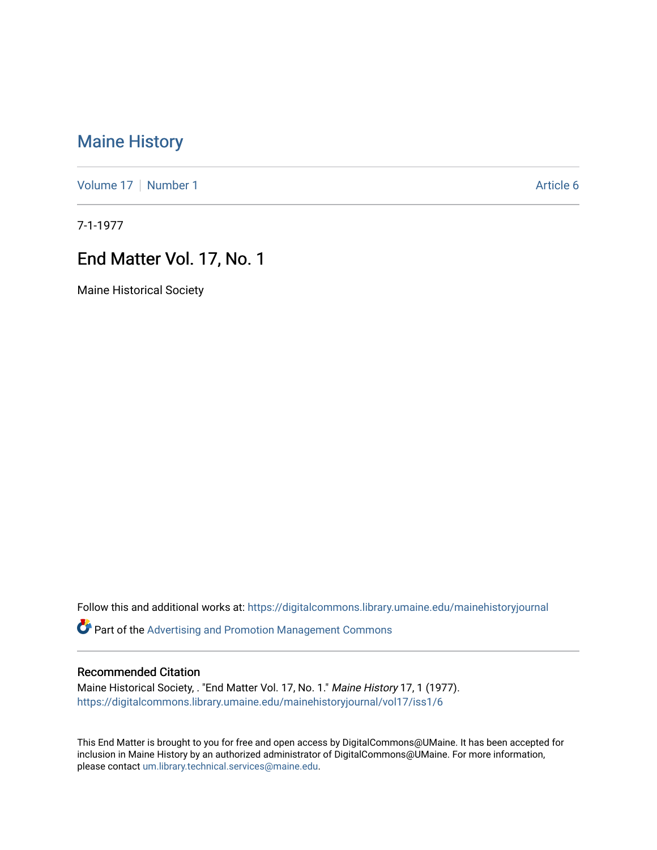## [Maine History](https://digitalcommons.library.umaine.edu/mainehistoryjournal)

[Volume 17](https://digitalcommons.library.umaine.edu/mainehistoryjournal/vol17) | [Number 1](https://digitalcommons.library.umaine.edu/mainehistoryjournal/vol17/iss1) Article 6

7-1-1977

## End Matter Vol. 17, No. 1

Maine Historical Society

Follow this and additional works at: [https://digitalcommons.library.umaine.edu/mainehistoryjournal](https://digitalcommons.library.umaine.edu/mainehistoryjournal?utm_source=digitalcommons.library.umaine.edu%2Fmainehistoryjournal%2Fvol17%2Fiss1%2F6&utm_medium=PDF&utm_campaign=PDFCoverPages) 

**P** Part of the Advertising and Promotion Management Commons

#### Recommended Citation

Maine Historical Society, . "End Matter Vol. 17, No. 1." Maine History 17, 1 (1977). [https://digitalcommons.library.umaine.edu/mainehistoryjournal/vol17/iss1/6](https://digitalcommons.library.umaine.edu/mainehistoryjournal/vol17/iss1/6?utm_source=digitalcommons.library.umaine.edu%2Fmainehistoryjournal%2Fvol17%2Fiss1%2F6&utm_medium=PDF&utm_campaign=PDFCoverPages)

This End Matter is brought to you for free and open access by DigitalCommons@UMaine. It has been accepted for inclusion in Maine History by an authorized administrator of DigitalCommons@UMaine. For more information, please contact [um.library.technical.services@maine.edu.](mailto:um.library.technical.services@maine.edu)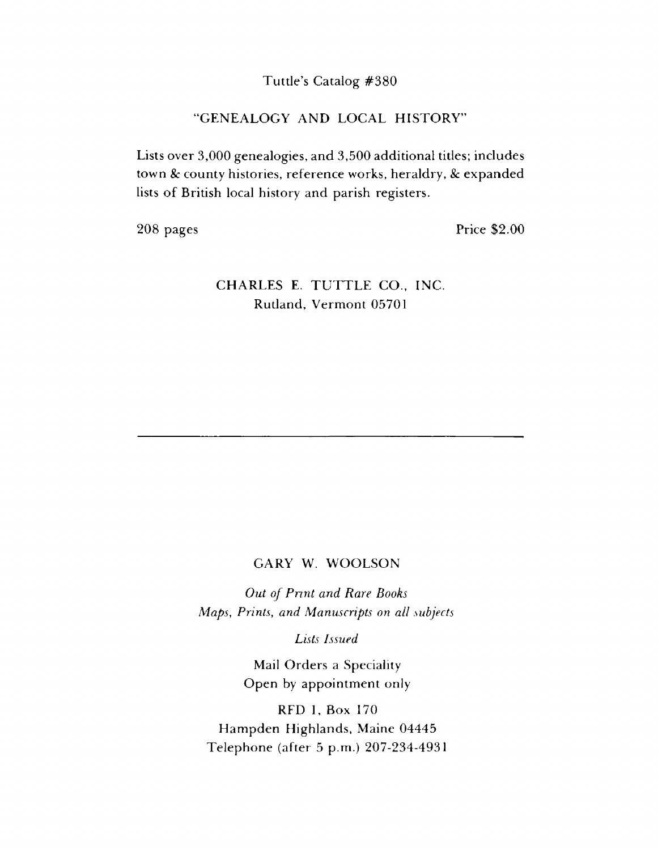#### Tuttle's Catalog #380

#### "GENEALOGY AND LOCAL HISTORY"

Lists over 3,000 genealogies, and 3,500 additional titles; includes town & county histories, reference works, heraldry, & expanded lists of British local history and parish registers.

208 pages Price \$2.00

### CHARLES E. TUTTLE CO., INC. Rutland, Vermont 05701

#### GARY W. WOOLSON

*Out of Print and Rare Books Maps*, *Prints*, *and Manuscripts on all subjects*

*Lists Issued*

Mail Orders a Speciality Open by appointment only

RFD 1, Box 170 Hampden Highlands, Maine 04445 Telephone (after 5 p.m.) 207-234-4931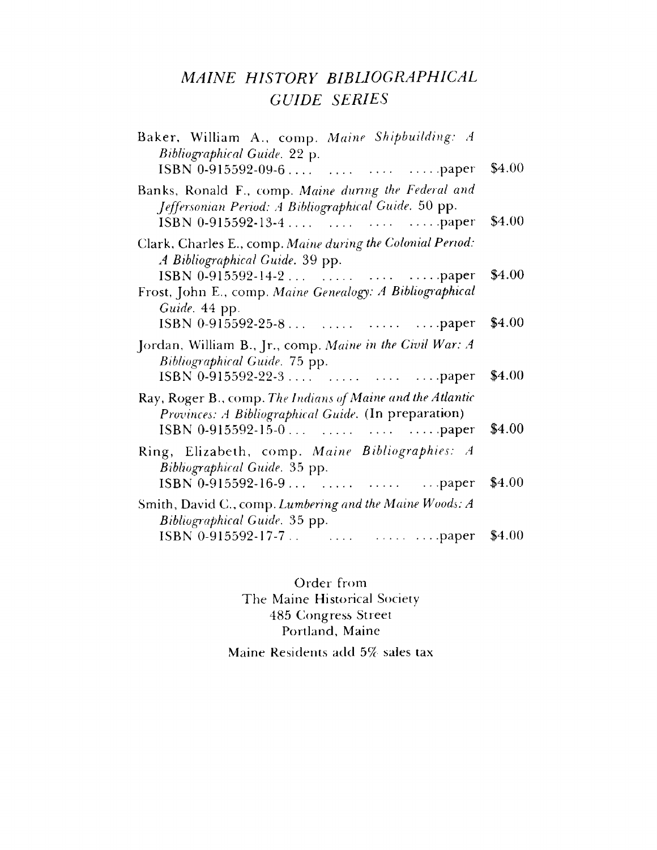# *MAINE HISTORY BIBLIOGRAPHICAL GUIDE SERIES*

| Baker, William A., comp. Maine Shipbuilding: A<br>Bibliographical Guide. 22 p.                                     | \$4.00 |
|--------------------------------------------------------------------------------------------------------------------|--------|
| Banks, Ronald F., comp. Maine during the Federal and<br>Jeffersonian Period: A Bibliographical Guide. 50 pp.       | \$4.00 |
| Clark, Charles E., comp. Maine during the Colonial Period:<br>A Bibliographical Guide. 39 pp.                      | \$4.00 |
| Frost, John E., comp. Maine Genealogy: A Bibliographical<br>Guide. 44 pp.                                          | \$4.00 |
| Jordan, William B., Jr., comp. Maine in the Civil War: A<br>Bibliographical Guide. 75 pp.                          | \$4.00 |
| Ray, Roger B., comp. The Indians of Maine and the Atlantic<br>Provinces: A Bibliographical Guide. (In preparation) | \$4.00 |
| Ring, Elizabeth, comp. Maine Bibliographies: A<br>Bibliographical Guide. 35 pp.<br>ISBN 0-915592-16-9    paper     | \$4.00 |
| Smith, David C., comp. Lumbering and the Maine Woods: A<br>Bibliographical Guide. 35 pp.                           |        |
|                                                                                                                    | \$4.00 |

Order from The Maine Historical Society 485 Congress Street Portland, Maine

Maine Residents add 5% sales tax